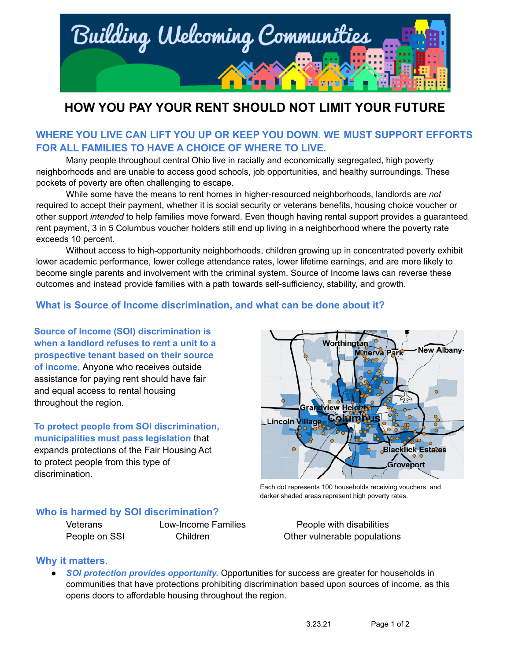

# **HOW YOU PAY YOUR RENT SHOULD NOT LIMIT YOUR FUTURE**

# **WHERE YOU LIVE CAN LIFT YOU UP OR KEEP YOU DOWN. WE MUST SUPPORT EFFORTS FOR ALL FAMILIES TO HAVE A CHOICE OF WHERE TO LIVE.**

Many people throughout central Ohio live in racially and economically segregated, high poverty neighborhoods and are unable to access good schools, job opportunities, and healthy surroundings. These pockets of poverty are often challenging to escape.

While some have the means to rent homes in higher-resourced neighborhoods, landlords are *not* required to accept their payment, whether it is social security or veterans benefits, housing choice voucher or other support *intended* to help families move forward. Even though having rental support provides a guaranteed rent payment, 3 in 5 Columbus voucher holders still end up living in a neighborhood where the poverty rate exceeds 10 percent.

Without access to high-opportunity neighborhoods, children growing up in concentrated poverty exhibit lower academic performance, lower college attendance rates, lower lifetime earnings, and are more likely to become single parents and involvement with the criminal system. Source of Income laws can reverse these outcomes and instead provide families with a path towards self-sufficiency, stability, and growth.

# **What is Source of Income discrimination, and what can be done about it?**

**Source of Income (SOI) discrimination is when a landlord refuses to rent a unit to a prospective tenant based on their source of income.** Anyone who receives outside assistance for paying rent should have fair and equal access to rental housing throughout the region.

**To protect people from SOI discrimination, municipalities must pass legislation** that expands protections of the Fair Housing Act to protect people from this type of discrimination.



Each dot represents 100 households receiving vouchers, and darker shaded areas represent high poverty rates.

#### **Who is harmed by SOI discrimination?**

Veterans Low-Income Families People with disabilities People on SSI Children Children Children Children Children Children Children Children Children Children Children

# **Why it matters.**

*● SOI protection provides opportunity.* Opportunities for success are greater for households in communities that have protections prohibiting discrimination based upon sources of income, as this opens doors to affordable housing throughout the region.